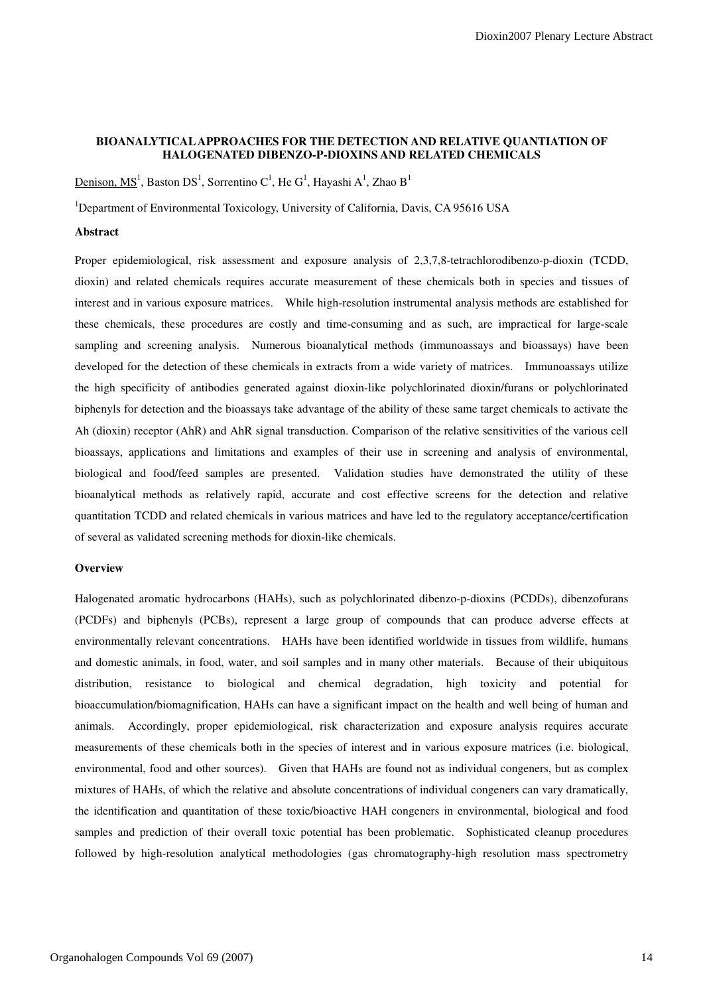# **BIOANALYTICAL APPROACHES FOR THE DETECTION AND RELATIVE QUANTIATION OF HALOGENATED DIBENZO-P-DIOXINS AND RELATED CHEMICALS**

<u>Denison, MS<sup>1</sup>,</u> Baston DS<sup>1</sup>, Sorrentino C<sup>1</sup>, He G<sup>1</sup>, Hayashi A<sup>1</sup>, Zhao B<sup>1</sup>

<sup>1</sup>Department of Environmental Toxicology, University of California, Davis, CA 95616 USA

## **Abstract**

Proper epidemiological, risk assessment and exposure analysis of 2,3,7,8-tetrachlorodibenzo-p-dioxin (TCDD, dioxin) and related chemicals requires accurate measurement of these chemicals both in species and tissues of interest and in various exposure matrices. While high-resolution instrumental analysis methods are established for these chemicals, these procedures are costly and time-consuming and as such, are impractical for large-scale sampling and screening analysis. Numerous bioanalytical methods (immunoassays and bioassays) have been developed for the detection of these chemicals in extracts from a wide variety of matrices. Immunoassays utilize the high specificity of antibodies generated against dioxin-like polychlorinated dioxin/furans or polychlorinated biphenyls for detection and the bioassays take advantage of the ability of these same target chemicals to activate the Ah (dioxin) receptor (AhR) and AhR signal transduction. Comparison of the relative sensitivities of the various cell bioassays, applications and limitations and examples of their use in screening and analysis of environmental, biological and food/feed samples are presented. Validation studies have demonstrated the utility of these bioanalytical methods as relatively rapid, accurate and cost effective screens for the detection and relative quantitation TCDD and related chemicals in various matrices and have led to the regulatory acceptance/certification of several as validated screening methods for dioxin-like chemicals.

# **Overview**

Halogenated aromatic hydrocarbons (HAHs), such as polychlorinated dibenzo-p-dioxins (PCDDs), dibenzofurans (PCDFs) and biphenyls (PCBs), represent a large group of compounds that can produce adverse effects at environmentally relevant concentrations. HAHs have been identified worldwide in tissues from wildlife, humans and domestic animals, in food, water, and soil samples and in many other materials. Because of their ubiquitous distribution, resistance to biological and chemical degradation, high toxicity and potential for bioaccumulation/biomagnification, HAHs can have a significant impact on the health and well being of human and animals. Accordingly, proper epidemiological, risk characterization and exposure analysis requires accurate measurements of these chemicals both in the species of interest and in various exposure matrices (i.e. biological, environmental, food and other sources). Given that HAHs are found not as individual congeners, but as complex mixtures of HAHs, of which the relative and absolute concentrations of individual congeners can vary dramatically, the identification and quantitation of these toxic/bioactive HAH congeners in environmental, biological and food samples and prediction of their overall toxic potential has been problematic. Sophisticated cleanup procedures followed by high-resolution analytical methodologies (gas chromatography-high resolution mass spectrometry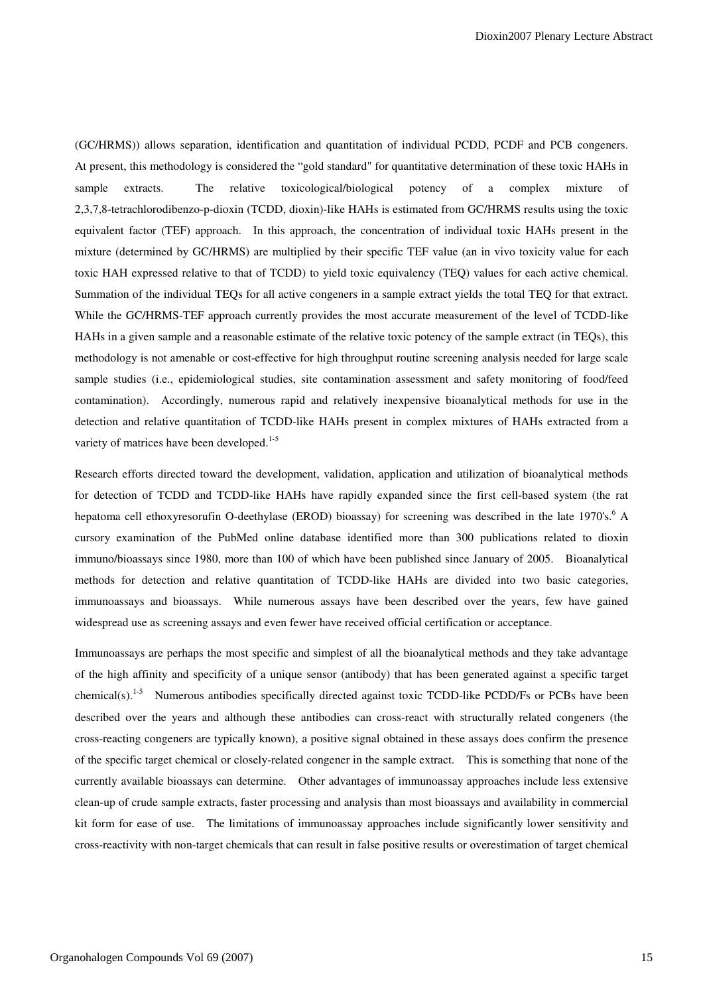(GC/HRMS)) allows separation, identification and quantitation of individual PCDD, PCDF and PCB congeners. At present, this methodology is considered the "gold standard" for quantitative determination of these toxic HAHs in sample extracts. The relative toxicological/biological potency of a complex mixture of 2,3,7,8-tetrachlorodibenzo-p-dioxin (TCDD, dioxin)-like HAHs is estimated from GC/HRMS results using the toxic equivalent factor (TEF) approach. In this approach, the concentration of individual toxic HAHs present in the mixture (determined by GC/HRMS) are multiplied by their specific TEF value (an in vivo toxicity value for each toxic HAH expressed relative to that of TCDD) to yield toxic equivalency (TEQ) values for each active chemical. Summation of the individual TEQs for all active congeners in a sample extract yields the total TEQ for that extract. While the GC/HRMS-TEF approach currently provides the most accurate measurement of the level of TCDD-like HAHs in a given sample and a reasonable estimate of the relative toxic potency of the sample extract (in TEQs), this methodology is not amenable or cost-effective for high throughput routine screening analysis needed for large scale sample studies (i.e., epidemiological studies, site contamination assessment and safety monitoring of food/feed contamination). Accordingly, numerous rapid and relatively inexpensive bioanalytical methods for use in the detection and relative quantitation of TCDD-like HAHs present in complex mixtures of HAHs extracted from a variety of matrices have been developed.<sup>1-5</sup>

Research efforts directed toward the development, validation, application and utilization of bioanalytical methods for detection of TCDD and TCDD-like HAHs have rapidly expanded since the first cell-based system (the rat hepatoma cell ethoxyresorufin O-deethylase (EROD) bioassay) for screening was described in the late 1970's.<sup>6</sup> A cursory examination of the PubMed online database identified more than 300 publications related to dioxin immuno/bioassays since 1980, more than 100 of which have been published since January of 2005. Bioanalytical methods for detection and relative quantitation of TCDD-like HAHs are divided into two basic categories, immunoassays and bioassays. While numerous assays have been described over the years, few have gained widespread use as screening assays and even fewer have received official certification or acceptance.

Immunoassays are perhaps the most specific and simplest of all the bioanalytical methods and they take advantage of the high affinity and specificity of a unique sensor (antibody) that has been generated against a specific target chemical(s).<sup>1-5</sup> Numerous antibodies specifically directed against toxic TCDD-like PCDD/Fs or PCBs have been described over the years and although these antibodies can cross-react with structurally related congeners (the cross-reacting congeners are typically known), a positive signal obtained in these assays does confirm the presence of the specific target chemical or closely-related congener in the sample extract. This is something that none of the currently available bioassays can determine. Other advantages of immunoassay approaches include less extensive clean-up of crude sample extracts, faster processing and analysis than most bioassays and availability in commercial kit form for ease of use. The limitations of immunoassay approaches include significantly lower sensitivity and cross-reactivity with non-target chemicals that can result in false positive results or overestimation of target chemical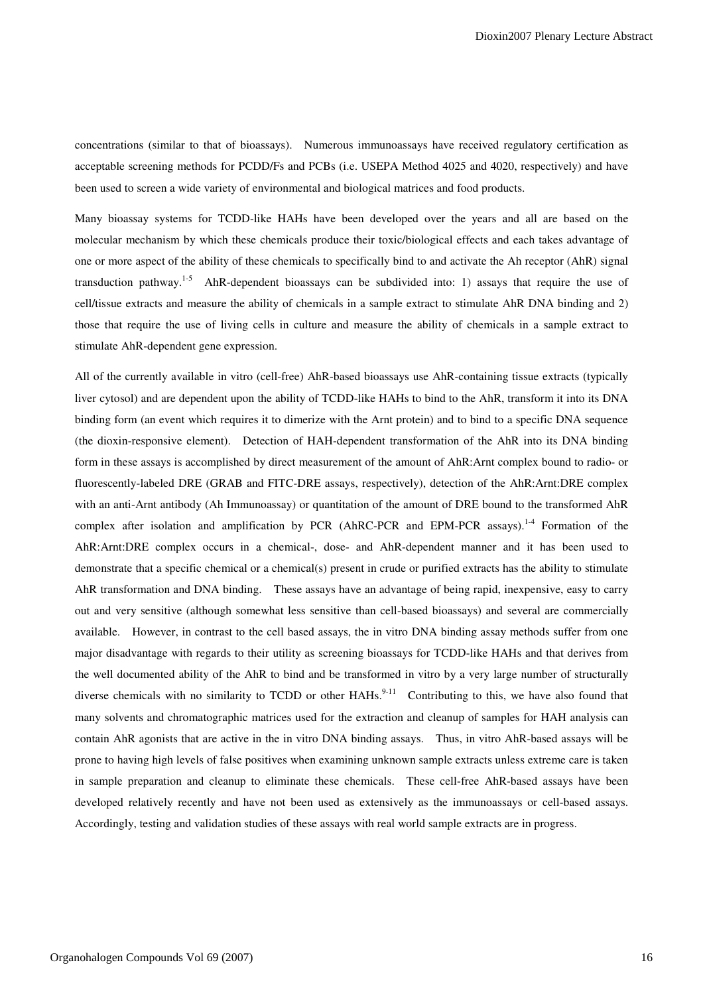concentrations (similar to that of bioassays). Numerous immunoassays have received regulatory certification as acceptable screening methods for PCDD/Fs and PCBs (i.e. USEPA Method 4025 and 4020, respectively) and have been used to screen a wide variety of environmental and biological matrices and food products.

Many bioassay systems for TCDD-like HAHs have been developed over the years and all are based on the molecular mechanism by which these chemicals produce their toxic/biological effects and each takes advantage of one or more aspect of the ability of these chemicals to specifically bind to and activate the Ah receptor (AhR) signal transduction pathway.<sup>1-5</sup> AhR-dependent bioassays can be subdivided into: 1) assays that require the use of cell/tissue extracts and measure the ability of chemicals in a sample extract to stimulate AhR DNA binding and 2) those that require the use of living cells in culture and measure the ability of chemicals in a sample extract to stimulate AhR-dependent gene expression.

All of the currently available in vitro (cell-free) AhR-based bioassays use AhR-containing tissue extracts (typically liver cytosol) and are dependent upon the ability of TCDD-like HAHs to bind to the AhR, transform it into its DNA binding form (an event which requires it to dimerize with the Arnt protein) and to bind to a specific DNA sequence (the dioxin-responsive element). Detection of HAH-dependent transformation of the AhR into its DNA binding form in these assays is accomplished by direct measurement of the amount of AhR:Arnt complex bound to radio- or fluorescently-labeled DRE (GRAB and FITC-DRE assays, respectively), detection of the AhR:Arnt:DRE complex with an anti-Arnt antibody (Ah Immunoassay) or quantitation of the amount of DRE bound to the transformed AhR complex after isolation and amplification by PCR (AhRC-PCR and EPM-PCR assays).<sup>1-4</sup> Formation of the AhR:Arnt:DRE complex occurs in a chemical-, dose- and AhR-dependent manner and it has been used to demonstrate that a specific chemical or a chemical(s) present in crude or purified extracts has the ability to stimulate AhR transformation and DNA binding. These assays have an advantage of being rapid, inexpensive, easy to carry out and very sensitive (although somewhat less sensitive than cell-based bioassays) and several are commercially available. However, in contrast to the cell based assays, the in vitro DNA binding assay methods suffer from one major disadvantage with regards to their utility as screening bioassays for TCDD-like HAHs and that derives from the well documented ability of the AhR to bind and be transformed in vitro by a very large number of structurally diverse chemicals with no similarity to TCDD or other  $HAHs$ <sup>9-11</sup> Contributing to this, we have also found that many solvents and chromatographic matrices used for the extraction and cleanup of samples for HAH analysis can contain AhR agonists that are active in the in vitro DNA binding assays. Thus, in vitro AhR-based assays will be prone to having high levels of false positives when examining unknown sample extracts unless extreme care is taken in sample preparation and cleanup to eliminate these chemicals. These cell-free AhR-based assays have been developed relatively recently and have not been used as extensively as the immunoassays or cell-based assays. Accordingly, testing and validation studies of these assays with real world sample extracts are in progress.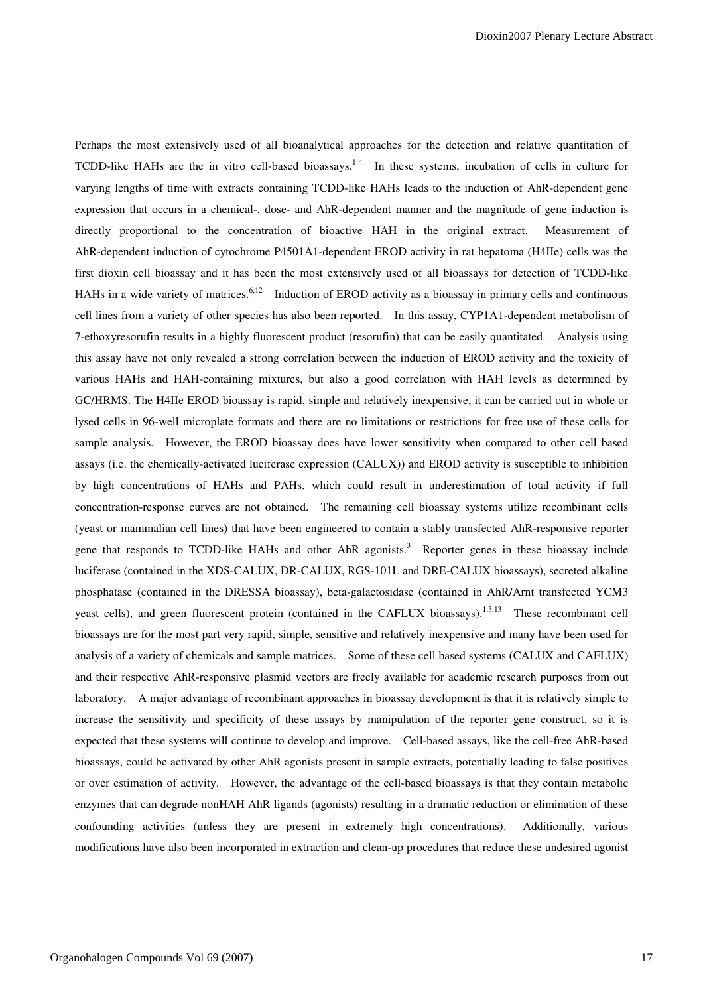Perhaps the most extensively used of all bioanalytical approaches for the detection and relative quantitation of TCDD-like HAHs are the in vitro cell-based bioassays.<sup>1-4</sup> In these systems, incubation of cells in culture for varying lengths of time with extracts containing TCDD-like HAHs leads to the induction of AhR-dependent gene expression that occurs in a chemical-, dose- and AhR-dependent manner and the magnitude of gene induction is directly proportional to the concentration of bioactive HAH in the original extract. Measurement of AhR-dependent induction of cytochrome P4501A1-dependent EROD activity in rat hepatoma (H4IIe) cells was the first dioxin cell bioassay and it has been the most extensively used of all bioassays for detection of TCDD-like HAHs in a wide variety of matrices.<sup>6,12</sup> Induction of EROD activity as a bioassay in primary cells and continuous cell lines from a variety of other species has also been reported. In this assay, CYP1A1-dependent metabolism of 7-ethoxyresorufin results in a highly fluorescent product (resorufin) that can be easily quantitated. Analysis using this assay have not only revealed a strong correlation between the induction of EROD activity and the toxicity of various HAHs and HAH-containing mixtures, but also a good correlation with HAH levels as determined by GC/HRMS. The H4IIe EROD bioassay is rapid, simple and relatively inexpensive, it can be carried out in whole or lysed cells in 96-well microplate formats and there are no limitations or restrictions for free use of these cells for sample analysis. However, the EROD bioassay does have lower sensitivity when compared to other cell based assays (i.e. the chemically-activated luciferase expression (CALUX)) and EROD activity is susceptible to inhibition by high concentrations of HAHs and PAHs, which could result in underestimation of total activity if full concentration-response curves are not obtained. The remaining cell bioassay systems utilize recombinant cells (yeast or mammalian cell lines) that have been engineered to contain a stably transfected AhR-responsive reporter gene that responds to TCDD-like HAHs and other AhR agonists.<sup>3</sup> Reporter genes in these bioassay include luciferase (contained in the XDS-CALUX, DR-CALUX, RGS-101L and DRE-CALUX bioassays), secreted alkaline phosphatase (contained in the DRESSA bioassay), beta-galactosidase (contained in AhR/Arnt transfected YCM3 yeast cells), and green fluorescent protein (contained in the CAFLUX bioassays).<sup>1,3,13</sup> These recombinant cell bioassays are for the most part very rapid, simple, sensitive and relatively inexpensive and many have been used for analysis of a variety of chemicals and sample matrices. Some of these cell based systems (CALUX and CAFLUX) and their respective AhR-responsive plasmid vectors are freely available for academic research purposes from out laboratory. A major advantage of recombinant approaches in bioassay development is that it is relatively simple to increase the sensitivity and specificity of these assays by manipulation of the reporter gene construct, so it is expected that these systems will continue to develop and improve. Cell-based assays, like the cell-free AhR-based bioassays, could be activated by other AhR agonists present in sample extracts, potentially leading to false positives or over estimation of activity. However, the advantage of the cell-based bioassays is that they contain metabolic enzymes that can degrade nonHAH AhR ligands (agonists) resulting in a dramatic reduction or elimination of these confounding activities (unless they are present in extremely high concentrations). Additionally, various modifications have also been incorporated in extraction and clean-up procedures that reduce these undesired agonist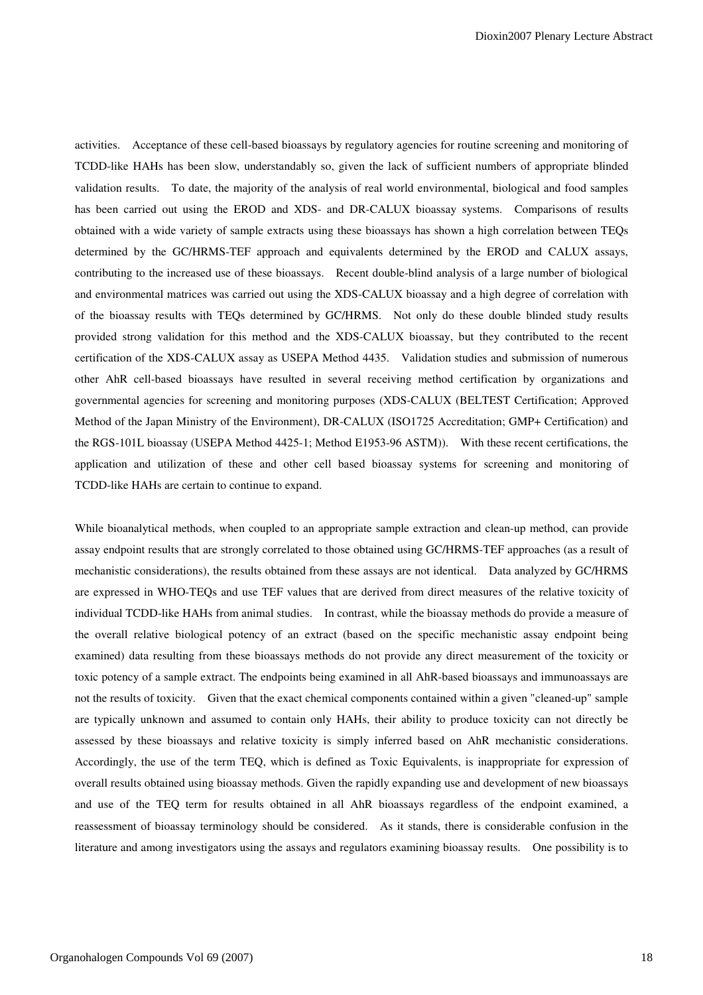activities. Acceptance of these cell-based bioassays by regulatory agencies for routine screening and monitoring of TCDD-like HAHs has been slow, understandably so, given the lack of sufficient numbers of appropriate blinded validation results. To date, the majority of the analysis of real world environmental, biological and food samples has been carried out using the EROD and XDS- and DR-CALUX bioassay systems. Comparisons of results obtained with a wide variety of sample extracts using these bioassays has shown a high correlation between TEQs determined by the GC/HRMS-TEF approach and equivalents determined by the EROD and CALUX assays, contributing to the increased use of these bioassays. Recent double-blind analysis of a large number of biological and environmental matrices was carried out using the XDS-CALUX bioassay and a high degree of correlation with of the bioassay results with TEQs determined by GC/HRMS. Not only do these double blinded study results provided strong validation for this method and the XDS-CALUX bioassay, but they contributed to the recent certification of the XDS-CALUX assay as USEPA Method 4435. Validation studies and submission of numerous other AhR cell-based bioassays have resulted in several receiving method certification by organizations and governmental agencies for screening and monitoring purposes (XDS-CALUX (BELTEST Certification; Approved Method of the Japan Ministry of the Environment), DR-CALUX (ISO1725 Accreditation; GMP+ Certification) and the RGS-101L bioassay (USEPA Method 4425-1; Method E1953-96 ASTM)). With these recent certifications, the application and utilization of these and other cell based bioassay systems for screening and monitoring of TCDD-like HAHs are certain to continue to expand.

While bioanalytical methods, when coupled to an appropriate sample extraction and clean-up method, can provide assay endpoint results that are strongly correlated to those obtained using GC/HRMS-TEF approaches (as a result of mechanistic considerations), the results obtained from these assays are not identical. Data analyzed by GC/HRMS are expressed in WHO-TEQs and use TEF values that are derived from direct measures of the relative toxicity of individual TCDD-like HAHs from animal studies. In contrast, while the bioassay methods do provide a measure of the overall relative biological potency of an extract (based on the specific mechanistic assay endpoint being examined) data resulting from these bioassays methods do not provide any direct measurement of the toxicity or toxic potency of a sample extract. The endpoints being examined in all AhR-based bioassays and immunoassays are not the results of toxicity. Given that the exact chemical components contained within a given "cleaned-up" sample are typically unknown and assumed to contain only HAHs, their ability to produce toxicity can not directly be assessed by these bioassays and relative toxicity is simply inferred based on AhR mechanistic considerations. Accordingly, the use of the term TEQ, which is defined as Toxic Equivalents, is inappropriate for expression of overall results obtained using bioassay methods. Given the rapidly expanding use and development of new bioassays and use of the TEQ term for results obtained in all AhR bioassays regardless of the endpoint examined, a reassessment of bioassay terminology should be considered. As it stands, there is considerable confusion in the literature and among investigators using the assays and regulators examining bioassay results. One possibility is to